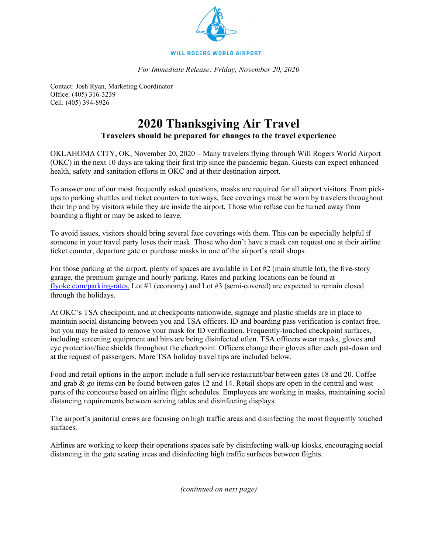

*For Immediate Release: Friday, November 20, 2020*

Contact: Josh Ryan, Marketing Coordinator Office: (405) 316-3239 Cell: (405) 394-8926

## **2020 Thanksgiving Air Travel**

## **Travelers should be prepared for changes to the travel experience**

OKLAHOMA CITY, OK, November 20, 2020 – Many travelers flying through Will Rogers World Airport (OKC) in the next 10 days are taking their first trip since the pandemic began. Guests can expect enhanced health, safety and sanitation efforts in OKC and at their destination airport.

To answer one of our most frequently asked questions, masks are required for all airport visitors. From pickups to parking shuttles and ticket counters to taxiways, face coverings must be worn by travelers throughout their trip and by visitors while they are inside the airport. Those who refuse can be turned away from boarding a flight or may be asked to leave.

To avoid issues, visitors should bring several face coverings with them. This can be especially helpful if someone in your travel party loses their mask. Those who don't have a mask can request one at their airline ticket counter, departure gate or purchase masks in one of the airport's retail shops.

For those parking at the airport, plenty of spaces are available in Lot #2 (main shuttle lot), the five-story garage, the premium garage and hourly parking. Rates and parking locations can be found at [flyokc.com/parking-rates.](http://www.flyokc.com/parking-rates) Lot #1 (economy) and Lot #3 (semi-covered) are expected to remain closed through the holidays.

At OKC's TSA checkpoint, and at checkpoints nationwide, signage and plastic shields are in place to maintain social distancing between you and TSA officers. ID and boarding pass verification is contact free, but you may be asked to remove your mask for ID verification. Frequently-touched checkpoint surfaces, including screening equipment and bins are being disinfected often. TSA officers wear masks, gloves and eye protection/face shields throughout the checkpoint. Officers change their gloves after each pat-down and at the request of passengers. More TSA holiday travel tips are included below.

Food and retail options in the airport include a full-service restaurant/bar between gates 18 and 20. Coffee and grab & go items can be found between gates 12 and 14. Retail shops are open in the central and west parts of the concourse based on airline flight schedules. Employees are working in masks, maintaining social distancing requirements between serving tables and disinfecting displays.

The airport's janitorial crews are focusing on high traffic areas and disinfecting the most frequently touched surfaces.

Airlines are working to keep their operations spaces safe by disinfecting walk-up kiosks, encouraging social distancing in the gate seating areas and disinfecting high traffic surfaces between flights.

*(continued on next page)*